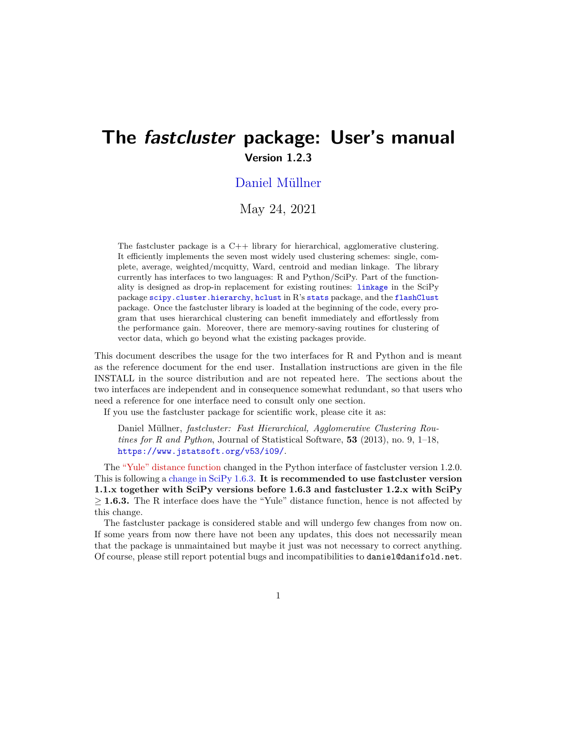# **The fastcluster package: User's manual Version 1.2.3**

# [Daniel Müllner](http://danifold.net)

May 24, 2021

The fastcluster package is a C++ library for hierarchical, agglomerative clustering. It efficiently implements the seven most widely used clustering schemes: single, complete, average, weighted/mcquitty, Ward, centroid and median linkage. The library currently has interfaces to two languages: R and Python/SciPy. Part of the functionality is designed as drop-in replacement for existing routines: [linkage](https://docs.scipy.org/doc/scipy/reference/generated/scipy.cluster.hierarchy.linkage.html) in the SciPy package [scipy.cluster.hierarchy](https://docs.scipy.org/doc/scipy/reference/generated/scipy.cluster.hierarchy.linkage.html), [hclust](https://stat.ethz.ch/R-manual/R-patched/library/stats/html/hclust.html) in R's [stats](https://stat.ethz.ch/R-manual/R-patched/library/stats/html/00Index.html) package, and the [flashClust](https://CRAN.R-project.org/package=flashClust) package. Once the fastcluster library is loaded at the beginning of the code, every program that uses hierarchical clustering can benefit immediately and effortlessly from the performance gain. Moreover, there are memory-saving routines for clustering of vector data, which go beyond what the existing packages provide.

This document describes the usage for the two interfaces for R and Python and is meant as the reference document for the end user. Installation instructions are given in the file INSTALL in the source distribution and are not repeated here. The sections about the two interfaces are independent and in consequence somewhat redundant, so that users who need a reference for one interface need to consult only one section.

If you use the fastcluster package for scientific work, please cite it as:

Daniel Müllner, *fastcluster: Fast Hierarchical, Agglomerative Clustering Routines for R and Python*, Journal of Statistical Software, **53** (2013), no. 9, 1–18, <https://www.jstatsoft.org/v53/i09/>.

The ["Yule" distance function](#page-13-0) changed in the Python interface of fastcluster version 1.2.0. This is following a [change in SciPy 1.6.3.](https://github.com/scipy/scipy/commit/3b22d1da98dc1b5f64bc944c21f398d4ba782bce) **It is recommended to use fastcluster version 1.1.x together with SciPy versions before 1.6.3 and fastcluster 1.2.x with SciPy** *≥* **1.6.3.** The R interface does have the "Yule" distance function, hence is not affected by this change.

The fastcluster package is considered stable and will undergo few changes from now on. If some years from now there have not been any updates, this does not necessarily mean that the package is unmaintained but maybe it just was not necessary to correct anything. Of course, please still report potential bugs and incompatibilities to daniel@danifold.net.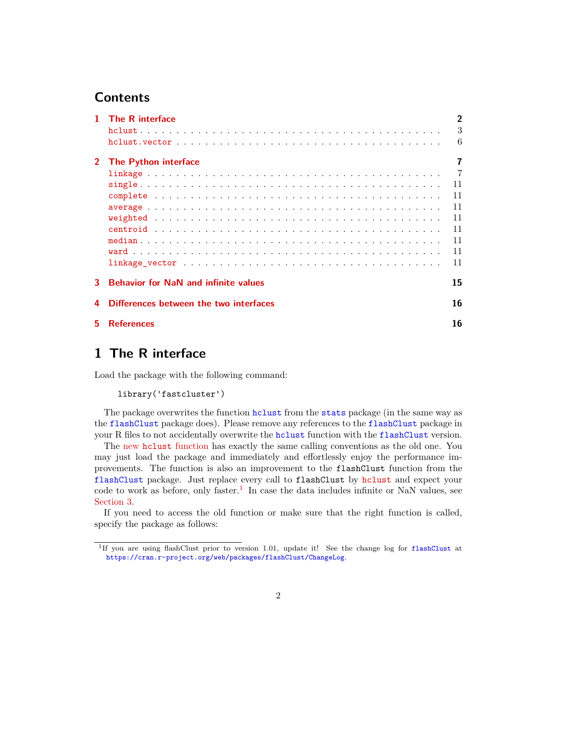# **Contents**

|             | <b>The R</b> interface                      | $\overline{2}$ |
|-------------|---------------------------------------------|----------------|
|             |                                             | 3              |
|             |                                             | 6              |
| $2^{\circ}$ | <b>The Python interface</b>                 | 7              |
|             |                                             | $\overline{7}$ |
|             |                                             | -11            |
|             |                                             | 11             |
|             |                                             | 11             |
|             |                                             | 11             |
|             |                                             | 11             |
|             |                                             | 11             |
|             |                                             | 11             |
|             |                                             | 11             |
| 3           | <b>Behavior for NaN and infinite values</b> | 15             |
|             | Differences between the two interfaces      | 16             |
| 5.          | <b>References</b>                           | 16             |
|             |                                             |                |

# <span id="page-1-0"></span>**1 The R interface**

Load the package with the following command:

```
library('fastcluster')
```
The package overwrites the function [hclust](https://stat.ethz.ch/R-manual/R-patched/library/stats/html/hclust.html) from the [stats](https://stat.ethz.ch/R-manual/R-patched/library/stats/html/00Index.html) package (in the same way as the [flashClust](https://CRAN.R-project.org/package=flashClust) package does). Please remove any references to the [flashClust](https://CRAN.R-project.org/package=flashClust) package in your R files to not accidentally overwrite the [hclust](https://stat.ethz.ch/R-manual/R-patched/library/stats/html/hclust.html) function with the [flashClust](https://CRAN.R-project.org/package=flashClust) version.

The new hclust [function](#page-2-0) has exactly the same calling conventions as the old one. You may just load the package and immediately and effortlessly enjoy the performance improvements. The function is also an improvement to the flashClust function from the [flashClust](https://CRAN.R-project.org/package=flashClust) package. Just replace every call to flashClust by [hclust](#page-2-0) and expect your code to work as before, only faster.<sup>[1](#page-1-1)</sup> In case the data includes infinite or NaN values, see [Section 3.](#page-14-0)

If you need to access the old function or make sure that the right function is called, specify the package as follows:

<span id="page-1-1"></span><sup>&</sup>lt;sup>1</sup>If you are using [flashClust](https://CRAN.R-project.org/package=flashClust) prior to version 1.01, update it! See the change log for flashClust at <https://cran.r-project.org/web/packages/flashClust/ChangeLog>.

<sup>2</sup>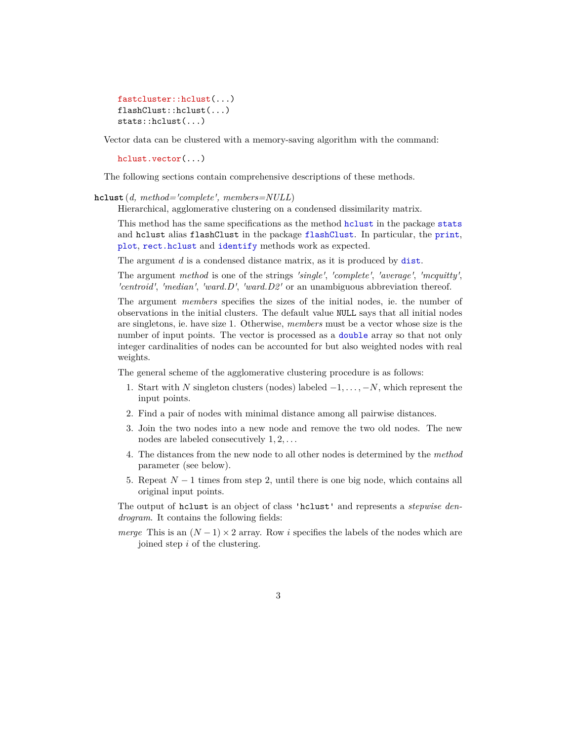```
fastcluster::hclust(...)
flashClust::hclust(...)
stats::hclust(...)
```
Vector data can be clustered with a memory-saving algorithm with the command:

[hclust.vector\(](#page-5-0)...)

The following sections contain comprehensive descriptions of these methods.

<span id="page-2-0"></span>**hclust** (*d, method='complete', members=NULL*)

Hierarchical, agglomerative clustering on a condensed dissimilarity matrix.

This method has the same specifications as the method [hclust](https://stat.ethz.ch/R-manual/R-patched/library/stats/html/hclust.html) in the package [stats](https://stat.ethz.ch/R-manual/R-patched/library/stats/html/00Index.html) and hclust alias flashClust in the package [flashClust](https://CRAN.R-project.org/package=flashClust). In particular, the [print](https://stat.ethz.ch/R-manual/R-patched/library/base/html/print.html), [plot](https://stat.ethz.ch/R-manual/R-patched/library/graphics/html/plot.html), [rect.hclust](https://stat.ethz.ch/R-manual/R-patched/library/stats/html/rect.hclust.html) and [identify](https://stat.ethz.ch/R-manual/R-patched/library/stats/html/identify.hclust.html) methods work as expected.

The argument *d* is a condensed [dist](https://stat.ethz.ch/R-manual/R-patched/library/stats/html/dist.html)ance matrix, as it is produced by dist.

The argument *method* is one of the strings *'single'*, *'complete'*, *'average'*, *'mcquitty'*, *'centroid'*, *'median'*, *'ward.D'*, *'ward.D2'* or an unambiguous abbreviation thereof.

The argument *members* specifies the sizes of the initial nodes, ie. the number of observations in the initial clusters. The default value NULL says that all initial nodes are singletons, ie. have size 1. Otherwise, *members* must be a vector whose size is the number of input points. The vector is processed as a [double](https://stat.ethz.ch/R-manual/R-patched/library/base/html/double.html) array so that not only integer cardinalities of nodes can be accounted for but also weighted nodes with real weights.

The general scheme of the agglomerative clustering procedure is as follows:

- 1. Start with *N* singleton clusters (nodes) labeled *−*1*, . . . , −N*, which represent the input points.
- 2. Find a pair of nodes with minimal distance among all pairwise distances.
- 3. Join the two nodes into a new node and remove the two old nodes. The new nodes are labeled consecutively 1*,* 2*, . . .*
- 4. The distances from the new node to all other nodes is determined by the *method* parameter (see below).
- 5. Repeat *N −* 1 times from step 2, until there is one big node, which contains all original input points.

The output of hclust is an object of class 'hclust' and represents a *stepwise dendrogram*. It contains the following fields:

*merge* This is an  $(N-1) \times 2$  array. Row *i* specifies the labels of the nodes which are joined step *i* of the clustering.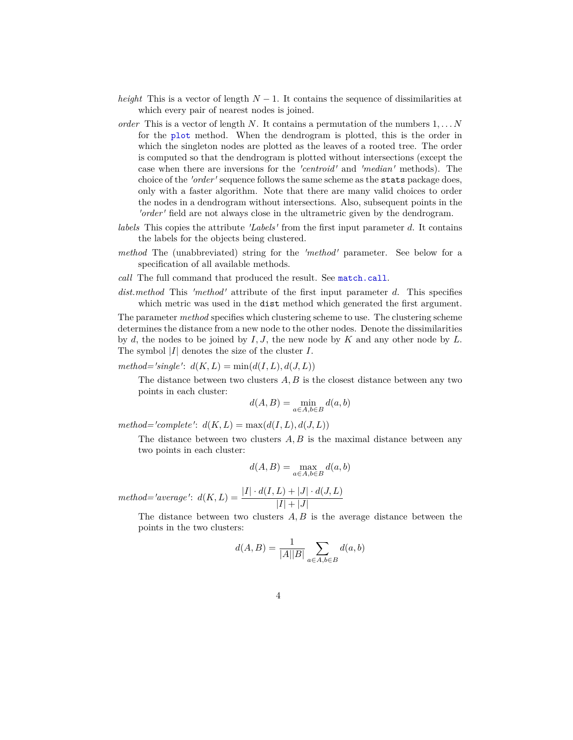- *height* This is a vector of length  $N-1$ . It contains the sequence of dissimilarities at which every pair of nearest nodes is joined.
- *order* This is a vector of length *N*. It contains a permutation of the numbers 1*, . . . N* for the [plot](https://stat.ethz.ch/R-manual/R-patched/library/graphics/html/plot.html) method. When the dendrogram is plotted, this is the order in which the singleton nodes are plotted as the leaves of a rooted tree. The order is computed so that the dendrogram is plotted without intersections (except the case when there are inversions for the *'centroid'* and *'median'* methods). The choice of the *'order'* sequence follows the same scheme as the stats package does, only with a faster algorithm. Note that there are many valid choices to order the nodes in a dendrogram without intersections. Also, subsequent points in the *'order'* field are not always close in the ultrametric given by the dendrogram.
- *labels* This copies the attribute *'Labels'* from the first input parameter *d*. It contains the labels for the objects being clustered.
- *method* The (unabbreviated) string for the *'method'* parameter. See below for a specification of all available methods.
- *call* The full command that produced the result. See [match.call](https://stat.ethz.ch/R-manual/R-patched/library/base/html/match.call.html).
- *dist.method* This *'method'* attribute of the first input parameter *d*. This specifies which metric was used in the dist method which generated the first argument.

The parameter *method* specifies which clustering scheme to use. The clustering scheme determines the distance from a new node to the other nodes. Denote the dissimilarities by *d*, the nodes to be joined by *I, J*, the new node by *K* and any other node by *L*. The symbol *|I|* denotes the size of the cluster *I*.

$$
method='single': d(K, L) = \min(d(I, L), d(J, L))
$$

The distance between two clusters *A, B* is the closest distance between any two points in each cluster:

$$
d(A, B) = \min_{a \in A, b \in B} d(a, b)
$$

 $method='complete': d(K, L) = \max(d(I, L), d(J, L))$ 

The distance between two clusters *A, B* is the maximal distance between any two points in each cluster:

$$
d(A, B) = \max_{a \in A, b \in B} d(a, b)
$$

 $\text{method} = \text{'average': } d(K, L) = \frac{|I| \cdot d(I, L) + |J| \cdot d(J, L)}{|I| + |J|}$ 

The distance between two clusters *A, B* is the average distance between the points in the two clusters:

$$
d(A,B) = \frac{1}{|A||B|} \sum_{a \in A, b \in B} d(a,b)
$$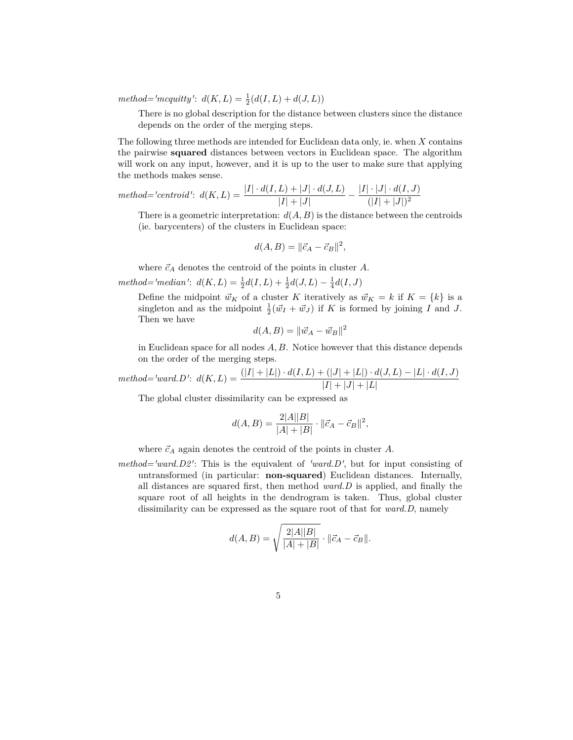$method='mequitty': d(K, L) = \frac{1}{2}(d(I, L) + d(J, L))$ 

There is no global description for the distance between clusters since the distance depends on the order of the merging steps.

The following three methods are intended for Euclidean data only, ie. when *X* contains the pairwise **squared** distances between vectors in Euclidean space. The algorithm will work on any input, however, and it is up to the user to make sure that applying the methods makes sense.

method='centroid':  $d(K, L) = \frac{|I| \cdot d(I, L) + |J| \cdot d(J, L)}{|I| + |J|} - \frac{|I| \cdot |J| \cdot d(I, J)}{(|I| + |J|)^2}$  $(|I| + |J|)^2$ 

There is a geometric interpretation:  $d(A, B)$  is the distance between the centroids (ie. barycenters) of the clusters in Euclidean space:

$$
d(A, B) = ||\vec{c}_A - \vec{c}_B||^2
$$

*,*

where  $\vec{c}_A$  denotes the centroid of the points in cluster  $A$ .  $method='median': d(K, L) = \frac{1}{2}d(I, L) + \frac{1}{2}d(J, L) - \frac{1}{4}d(I, J)$ 

Define the midpoint  $\vec{w}_K$  of a cluster *K* iteratively as  $\vec{w}_K = k$  if  $K = \{k\}$  is a singleton and as the midpoint  $\frac{1}{2}(\vec{w}_I + \vec{w}_J)$  if K is formed by joining I and J. Then we have

$$
d(A, B) = ||\vec{w}_A - \vec{w}_B||^2
$$

in Euclidean space for all nodes *A, B*. Notice however that this distance depends on the order of the merging steps.

method='ward.D':  $d(K, L) = \frac{(|I| + |L|) \cdot d(I, L) + (|J| + |L|) \cdot d(J, L) - |L| \cdot d(I, J)}{|I| + |J| + |L|}$ 

The global cluster dissimilarity can be expressed as

$$
d(A, B) = \frac{2|A||B|}{|A|+|B|} \cdot ||\vec{c}_A - \vec{c}_B||^2,
$$

where  $\vec{c}_A$  again denotes the centroid of the points in cluster  $A$ .

*method='ward.D2'*: This is the equivalent of *'ward.D'*, but for input consisting of untransformed (in particular: **non-squared**) Euclidean distances. Internally, all distances are squared first, then method *ward.D* is applied, and finally the square root of all heights in the dendrogram is taken. Thus, global cluster dissimilarity can be expressed as the square root of that for *ward.D*, namely

$$
d(A, B) = \sqrt{\frac{2|A||B|}{|A| + |B|}} \cdot ||\vec{c}_A - \vec{c}_B||.
$$

5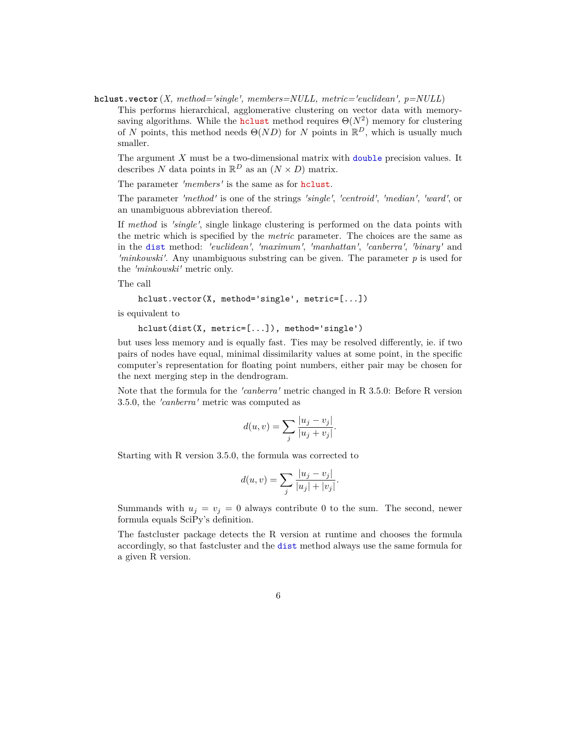<span id="page-5-0"></span>**hclust.vector** (*X, method='single', members=NULL, metric='euclidean', p=NULL*)

This performs hierarchical, agglomerative clustering on vector data with memorysaving algorithms. While the **[hclust](#page-2-0)** method requires  $\Theta(N^2)$  memory for clustering of *N* points, this method needs  $\Theta(ND)$  for *N* points in  $\mathbb{R}^D$ , which is usually much smaller.

The argument *X* must be a two-dimensional matrix with [double](https://stat.ethz.ch/R-manual/R-patched/library/base/html/double.html) precision values. It describes *N* data points in  $\mathbb{R}^D$  as an  $(N \times D)$  matrix.

The parameter *'members'* is the same as for [hclust](#page-2-0).

The parameter *'method'* is one of the strings *'single'*, *'centroid'*, *'median'*, *'ward'*, or an unambiguous abbreviation thereof.

If *method* is *'single'*, single linkage clustering is performed on the data points with the metric which is specified by the *metric* parameter. The choices are the same as in the [dist](https://stat.ethz.ch/R-manual/R-patched/library/stats/html/dist.html) method: *'euclidean'*, *'maximum'*, *'manhattan'*, *'canberra'*, *'binary'* and *'minkowski'*. Any unambiguous substring can be given. The parameter *p* is used for the *'minkowski'* metric only.

The call

```
hclust.vector(X, method='single', metric=[...])
```
is equivalent to

hclust(dist(X, metric=[...]), method='single')

but uses less memory and is equally fast. Ties may be resolved differently, ie. if two pairs of nodes have equal, minimal dissimilarity values at some point, in the specific computer's representation for floating point numbers, either pair may be chosen for the next merging step in the dendrogram.

Note that the formula for the *'canberra'* metric changed in R 3.5.0: Before R version 3.5.0, the *'canberra'* metric was computed as

$$
d(u, v) = \sum_{j} \frac{|u_j - v_j|}{|u_j + v_j|}.
$$

Starting with R version 3.5.0, the formula was corrected to

$$
d(u, v) = \sum_{j} \frac{|u_j - v_j|}{|u_j| + |v_j|}.
$$

Summands with  $u_j = v_j = 0$  always contribute 0 to the sum. The second, newer formula equals SciPy's definition.

The fastcluster package detects the R version at runtime and chooses the formula accordingly, so that fastcluster and the [dist](https://stat.ethz.ch/R-manual/R-patched/library/stats/html/dist.html) method always use the same formula for a given R version.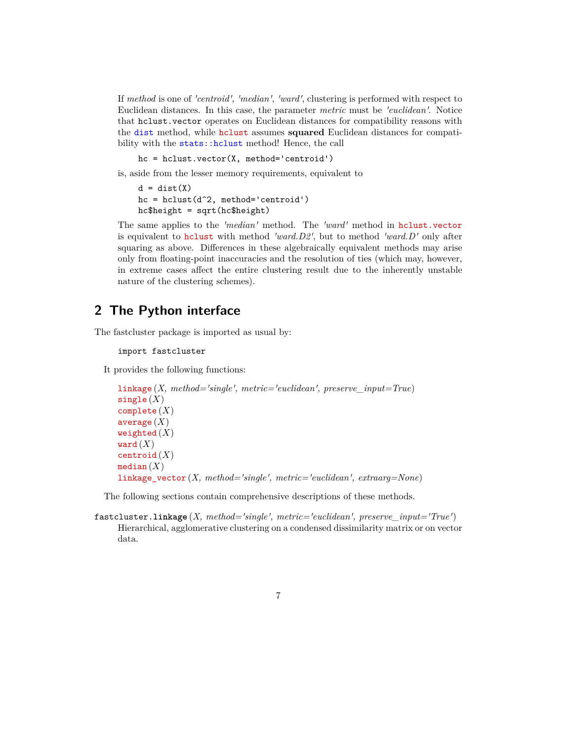If *method* is one of *'centroid'*, *'median'*, *'ward'*, clustering is performed with respect to Euclidean distances. In this case, the parameter *metric* must be *'euclidean'*. Notice that hclust.vector operates on Euclidean distances for compatibility reasons with the [dist](https://stat.ethz.ch/R-manual/R-patched/library/stats/html/dist.html) method, while [hclust](#page-2-0) assumes **squared** Euclidean distances for compatibility with the [stats::hclust](https://stat.ethz.ch/R-manual/R-patched/library/stats/html/hclust.html) method! Hence, the call

<span id="page-6-2"></span>hc = hclust.vector(X, method='centroid')

is, aside from the lesser memory requirements, equivalent to

```
d = dist(X)hc = hclust(d^2, method='centroid')hc$height = sqrt(hc$height)
```
The same applies to the *'median'* method. The *'ward'* method in [hclust.vector](#page-5-0) is equivalent to [hclust](#page-2-0) with method *'ward.D2'*, but to method *'ward.D'* only after squaring as above. Differences in these algebraically equivalent methods may arise only from floating-point inaccuracies and the resolution of ties (which may, however, in extreme cases affect the entire clustering result due to the inherently unstable nature of the clustering schemes).

# <span id="page-6-0"></span>**2 The Python interface**

The fastcluster package is imported as usual by:

```
import fastcluster
```
It provides the following functions:

```
linkage (X, method='single', metric='euclidean', preserve_input=True)
single (X)
complete (X)
average (X)
weighted (X)
ward (X)
centroid (X)
median(X)linkage_vector (X, method='single', metric='euclidean', extraarg=None)
```
The following sections contain comprehensive descriptions of these methods.

<span id="page-6-1"></span>fastcluster.**linkage** (*X, method='single', metric='euclidean', preserve\_input='True'*) Hierarchical, agglomerative clustering on a condensed dissimilarity matrix or on vector data.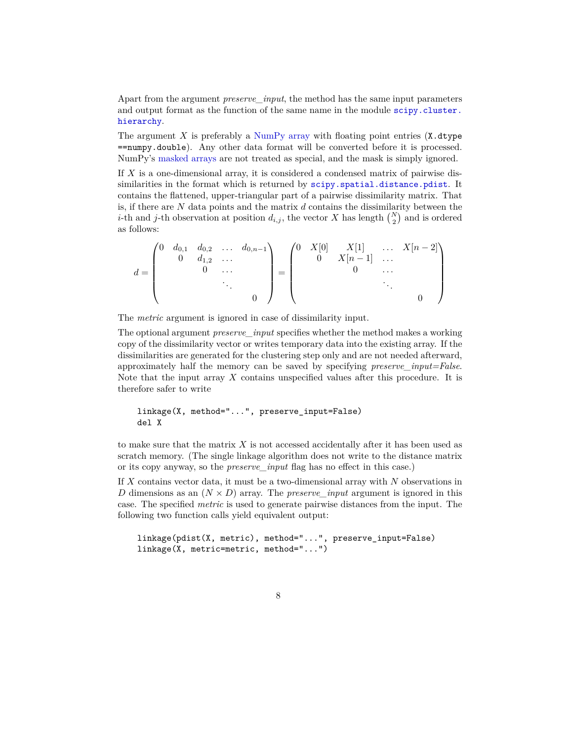Apart from the argument *preserve\_input*, the method has the same input parameters and output format as the function of the same name in the module [scipy.cluster.](https://docs.scipy.org/doc/scipy/reference/generated/scipy.cluster.hierarchy.linkage.html) [hierarchy](https://docs.scipy.org/doc/scipy/reference/generated/scipy.cluster.hierarchy.linkage.html).

The argument  $X$  is preferably a [NumPy array](https://docs.scipy.org/doc/numpy/reference/generated/numpy.ndarray.html) with floating point entries  $(X, \text{dtype})$ ==numpy.double). Any other data format will be converted before it is processed. NumPy's [masked arrays](https://docs.scipy.org/doc/numpy/reference/maskedarray.html) are not treated as special, and the mask is simply ignored.

If *X* is a one-dimensional array, it is considered a condensed matrix of pairwise dissimilarities in the format which is returned by [scipy.spatial.distance.pdist](https://docs.scipy.org/doc/scipy/reference/generated/scipy.spatial.distance.pdist.html). It contains the flattened, upper-triangular part of a pairwise dissimilarity matrix. That is, if there are *N* data points and the matrix *d* contains the dissimilarity between the *i*-th and *j*-th observation at position  $d_{i,j}$ , the vector *X* has length  $\binom{N}{2}$  and is ordered as follows:

$$
d = \begin{pmatrix} 0 & d_{0,1} & d_{0,2} & \dots & d_{0,n-1} \\ & 0 & d_{1,2} & \dots & \\ & & 0 & \dots & \\ & & & & 0 \end{pmatrix} = \begin{pmatrix} 0 & X[0] & X[1] & \dots & X[n-2] \\ & 0 & X[n-1] & \dots & \\ & & 0 & \dots & \\ & & & \ddots & \\ & & & & 0 \end{pmatrix}
$$

The *metric* argument is ignored in case of dissimilarity input.

The optional argument *preserve\_input* specifies whether the method makes a working copy of the dissimilarity vector or writes temporary data into the existing array. If the dissimilarities are generated for the clustering step only and are not needed afterward, approximately half the memory can be saved by specifying *preserve\_input=False*. Note that the input array *X* contains unspecified values after this procedure. It is therefore safer to write

```
linkage(X, method="...", preserve_input=False)
del X
```
to make sure that the matrix *X* is not accessed accidentally after it has been used as scratch memory. (The single linkage algorithm does not write to the distance matrix or its copy anyway, so the *preserve\_input* flag has no effect in this case.)

If *X* contains vector data, it must be a two-dimensional array with *N* observations in *D* dimensions as an  $(N \times D)$  array. The *preserve\_input* argument is ignored in this case. The specified *metric* is used to generate pairwise distances from the input. The following two function calls yield equivalent output:

```
linkage(pdist(X, metric), method="...", preserve_input=False)
linkage(X, metric=metric, method="...")
```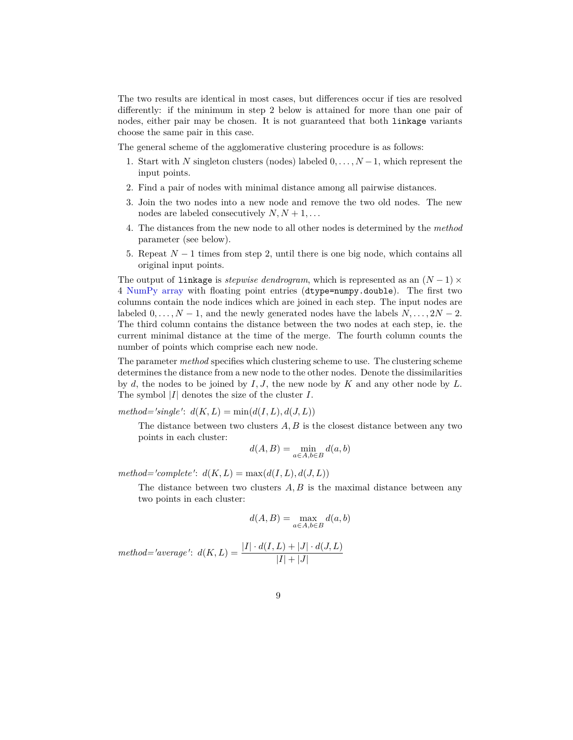The two results are identical in most cases, but differences occur if ties are resolved differently: if the minimum in step 2 below is attained for more than one pair of nodes, either pair may be chosen. It is not guaranteed that both linkage variants choose the same pair in this case.

The general scheme of the agglomerative clustering procedure is as follows:

- 1. Start with *N* singleton clusters (nodes) labeled 0*, . . . , N −*1, which represent the input points.
- 2. Find a pair of nodes with minimal distance among all pairwise distances.
- 3. Join the two nodes into a new node and remove the two old nodes. The new nodes are labeled consecutively  $N, N+1, \ldots$
- 4. The distances from the new node to all other nodes is determined by the *method* parameter (see below).
- 5. Repeat *N −* 1 times from step 2, until there is one big node, which contains all original input points.

The output of linkage is *stepwise dendrogram*, which is represented as an  $(N-1) \times$ 4 [NumPy array](https://docs.scipy.org/doc/numpy/reference/generated/numpy.ndarray.html) with floating point entries (dtype=numpy.double). The first two columns contain the node indices which are joined in each step. The input nodes are labeled  $0, \ldots, N-1$ , and the newly generated nodes have the labels  $N, \ldots, 2N-2$ . The third column contains the distance between the two nodes at each step, ie. the current minimal distance at the time of the merge. The fourth column counts the number of points which comprise each new node.

The parameter *method* specifies which clustering scheme to use. The clustering scheme determines the distance from a new node to the other nodes. Denote the dissimilarities by *d*, the nodes to be joined by *I, J*, the new node by *K* and any other node by *L*. The symbol *|I|* denotes the size of the cluster *I*.

 $method='single': d(K, L) = min(d(I, L), d(J, L))$ 

The distance between two clusters *A, B* is the closest distance between any two points in each cluster:

$$
d(A, B) = \min_{a \in A, b \in B} d(a, b)
$$

 $method='complete': d(K, L) = \max(d(I, L), d(J, L))$ 

The distance between two clusters *A, B* is the maximal distance between any two points in each cluster:

$$
d(A, B) = \max_{a \in A, b \in B} d(a, b)
$$

 $\text{method} = \text{'average': } d(K, L) = \frac{|I| \cdot d(I, L) + |J| \cdot d(J, L)}{|I| + |J|}$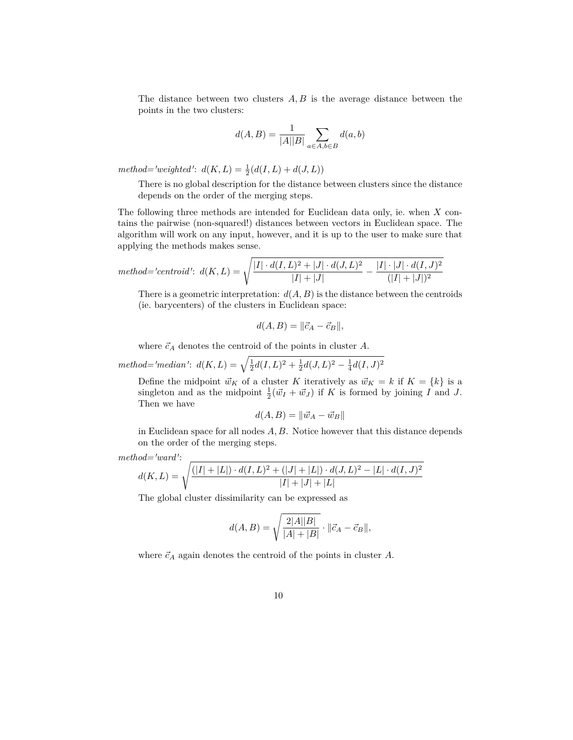The distance between two clusters *A, B* is the average distance between the points in the two clusters:

$$
d(A,B)=\frac{1}{|A||B|}\sum_{a\in A,b\in B}d(a,b)
$$

 $method='weighted': d(K, L) = \frac{1}{2}(d(I, L) + d(J, L))$ 

There is no global description for the distance between clusters since the distance depends on the order of the merging steps.

The following three methods are intended for Euclidean data only, ie. when *X* contains the pairwise (non-squared!) distances between vectors in Euclidean space. The algorithm will work on any input, however, and it is up to the user to make sure that applying the methods makes sense.

$$
method='centroid': d(K, L) = \sqrt{\frac{|I| \cdot d(I, L)^2 + |J| \cdot d(J, L)^2}{|I| + |J|}} - \frac{|I| \cdot |J| \cdot d(I, J)^2}{(|I| + |J|)^2}
$$

There is a geometric interpretation:  $d(A, B)$  is the distance between the centroids (ie. barycenters) of the clusters in Euclidean space:

$$
d(A, B) = ||\vec{c}_A - \vec{c}_B||,
$$

where  $\vec{c}_A$  denotes the centroid of the points in cluster  $A$ .

 $method='median': d(K, L) = \sqrt{\frac{1}{2}d(I, L)^2 + \frac{1}{2}d(J, L)^2 - \frac{1}{4}d(I, J)^2}$ 

Define the midpoint  $\vec{w}_K$  of a cluster *K* iteratively as  $\vec{w}_K = k$  if  $K = \{k\}$  is a singleton and as the midpoint  $\frac{1}{2}(\vec{w}_I + \vec{w}_J)$  if K is formed by joining I and J. Then we have

$$
d(A, B) = \|\vec{w}_A - \vec{w}_B\|
$$

in Euclidean space for all nodes *A, B*. Notice however that this distance depends on the order of the merging steps.

$$
method='ward'\mathbin{:}
$$

$$
d(K, L) = \sqrt{\frac{(|I| + |L|) \cdot d(I, L)^2 + (|J| + |L|) \cdot d(J, L)^2 - |L| \cdot d(I, J)^2}{|I| + |J| + |L|}}
$$

The global cluster dissimilarity can be expressed as

$$
d(A, B) = \sqrt{\frac{2|A||B|}{|A| + |B|}} \cdot ||\vec{c}_A - \vec{c}_B||,
$$

where  $\vec{c}_A$  again denotes the centroid of the points in cluster  $A$ .

10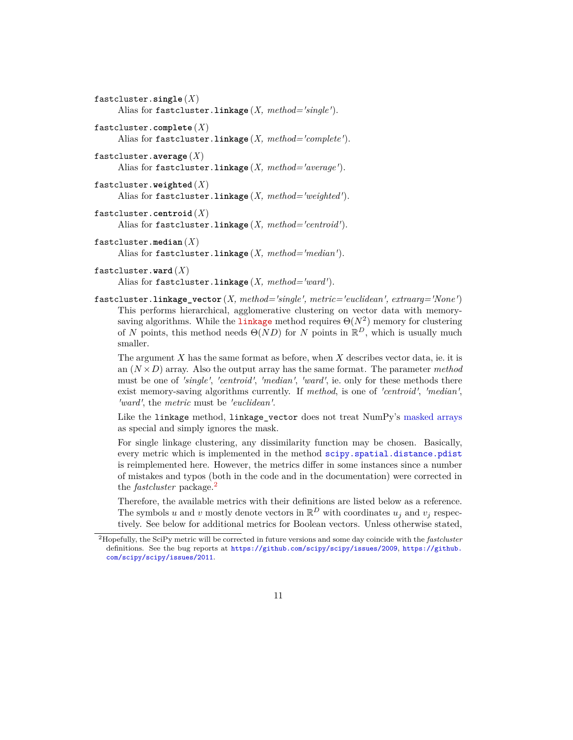```
fastcluster.single (X)
     Alias for fastcluster.linkage (X, method='single').
fastcluster.complete (X)
     Alias for fastcluster.linkage (X, method='complete').
fastcluster.average (X)
     Alias for fastcluster.linkage (X, method='average').
fastcluster.weighted (X)
     Alias for fastcluster.linkage (X, method='weighted').
fastcluster.centroid (X)
     Alias for fastcluster.linkage (X, method='centroid').
fastcluster.median (X)
     Alias for fastcluster.linkage (X, method='median').
```

```
fastcluster.ward (X)
     Alias for fastcluster.linkage (X, method='ward').
```
<span id="page-10-7"></span>fastcluster.**linkage\_vector** (*X, method='single', metric='euclidean', extraarg='None'*)

This performs hierarchical, agglomerative clustering on vector data with memorysaving algorithms. While the [linkage](#page-6-1) method requires  $\Theta(N^2)$  memory for clustering of *N* points, this method needs  $\Theta(ND)$  for *N* points in  $\mathbb{R}^D$ , which is usually much smaller.

The argument *X* has the same format as before, when *X* describes vector data, ie. it is an  $(N \times D)$  array. Also the output array has the same format. The parameter *method* must be one of *'single'*, *'centroid'*, *'median'*, *'ward'*, ie. only for these methods there exist memory-saving algorithms currently. If *method*, is one of *'centroid'*, *'median'*, *'ward'*, the *metric* must be *'euclidean'*.

Like the linkage method, linkage\_vector does not treat NumPy's [masked arrays](https://docs.scipy.org/doc/numpy/reference/maskedarray.html) as special and simply ignores the mask.

For single linkage clustering, any dissimilarity function may be chosen. Basically, every metric which is implemented in the method [scipy.spatial.distance.pdist](https://docs.scipy.org/doc/scipy/reference/generated/scipy.spatial.distance.pdist.html) is reimplemented here. However, the metrics differ in some instances since a number of mistakes and typos (both in the code and in the documentation) were corrected in the *fastcluster* package.[2](#page-10-8)

Therefore, the available metrics with their definitions are listed below as a reference. The symbols *u* and *v* mostly denote vectors in  $\mathbb{R}^D$  with coordinates  $u_j$  and  $v_j$  respectively. See below for additional metrics for Boolean vectors. Unless otherwise stated,

#### 11

<span id="page-10-8"></span><sup>2</sup>Hopefully, the SciPy metric will be corrected in future versions and some day coincide with the *fastcluster* definitions. See the bug reports at <https://github.com/scipy/scipy/issues/2009>, [https://github.](https://github.com/scipy/scipy/issues/2011) [com/scipy/scipy/issues/2011](https://github.com/scipy/scipy/issues/2011).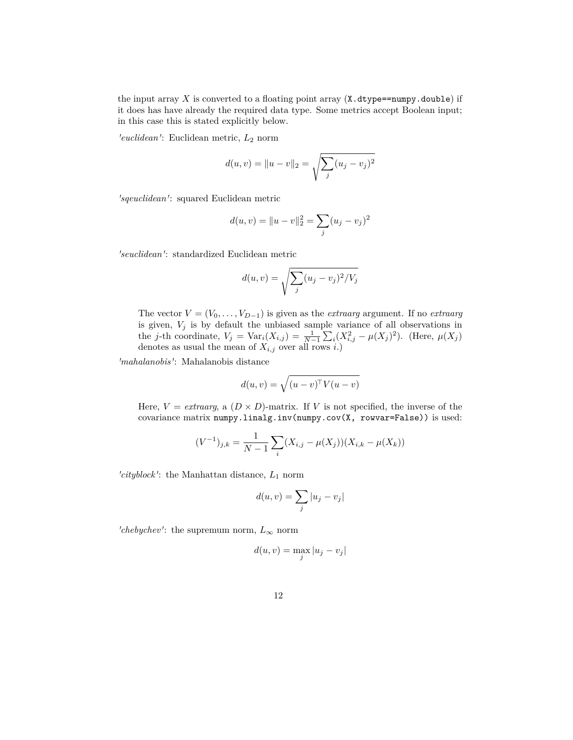the input array  $X$  is converted to a floating point array  $(X.$  dtype==numpy.double) if it does has have already the required data type. Some metrics accept Boolean input; in this case this is stated explicitly below.

*'euclidean'*: Euclidean metric, *L*<sup>2</sup> norm

$$
d(u, v) = ||u - v||_2 = \sqrt{\sum_j (u_j - v_j)^2}
$$

*'sqeuclidean'*: squared Euclidean metric

$$
d(u, v) = ||u - v||_2^2 = \sum_j (u_j - v_j)^2
$$

*'seuclidean'*: standardized Euclidean metric

$$
d(u, v) = \sqrt{\sum_{j} (u_j - v_j)^2 / V_j}
$$

The vector  $V = (V_0, \ldots, V_{D-1})$  is given as the *extraarg* argument. If no *extraarg* is given, *V<sup>j</sup>* is by default the unbiased sample variance of all observations in the *j*-th coordinate,  $V_j = \text{Var}_i(X_{i,j}) = \frac{1}{N-1} \sum_i (X_{i,j}^2 - \mu(X_j)^2)$ . (Here,  $\mu(X_j)$ denotes as usual the mean of  $X_{i,j}$  over all rows  $i$ .)

*'mahalanobis'*: Mahalanobis distance

$$
d(u,v) = \sqrt{(u-v)^\top V(u-v)}
$$

Here,  $V = \text{extraarg}$ , a  $(D \times D)$ -matrix. If *V* is not specified, the inverse of the covariance matrix numpy.linalg.inv(numpy.cov(X, rowvar=False)) is used:

$$
(V^{-1})_{j,k} = \frac{1}{N-1} \sum_{i} (X_{i,j} - \mu(X_j))(X_{i,k} - \mu(X_k))
$$

*'cityblock'*: the Manhattan distance, *L*<sup>1</sup> norm

$$
d(u, v) = \sum_j |u_j - v_j|
$$

*'chebychev'*: the supremum norm,  $L_{\infty}$  norm

$$
d(u,v) = \max_j |u_j - v_j|
$$

12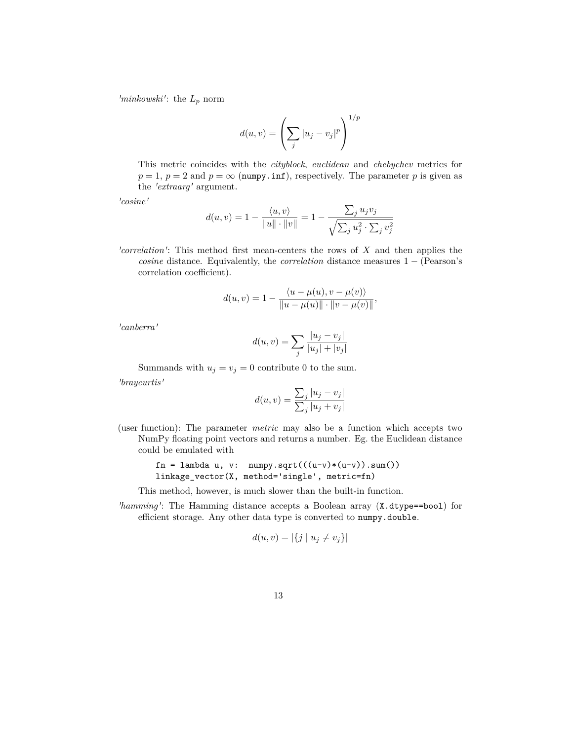*'minkowski'*: the  $L_p$  norm

$$
d(u, v) = \left(\sum_j |u_j - v_j|^p\right)^{1/p}
$$

This metric coincides with the *cityblock*, *euclidean* and *chebychev* metrics for  $p = 1$ ,  $p = 2$  and  $p = \infty$  (numpy.inf), respectively. The parameter *p* is given as the *'extraarg'* argument.

*'cosine'*

$$
d(u, v) = 1 - \frac{\langle u, v \rangle}{\|u\| \cdot \|v\|} = 1 - \frac{\sum_j u_j v_j}{\sqrt{\sum_j u_j^2 \cdot \sum_j v_j^2}}
$$

*'correlation'*: This method first mean-centers the rows of *X* and then applies the *cosine* distance. Equivalently, the *correlation* distance measures 1 *−* (Pearson's correlation coefficient).

$$
d(u, v) = 1 - \frac{\langle u - \mu(u), v - \mu(v) \rangle}{\|u - \mu(u)\| \cdot \|v - \mu(v)\|},
$$

*'canberra'*

$$
d(u, v) = \sum_{j} \frac{|u_j - v_j|}{|u_j| + |v_j|}
$$

Summands with  $u_j = v_j = 0$  contribute 0 to the sum.

*'braycurtis'*

$$
d(u, v) = \frac{\sum_{j} |u_j - v_j|}{\sum_{j} |u_j + v_j|}
$$

(user function): The parameter *metric* may also be a function which accepts two NumPy floating point vectors and returns a number. Eg. the Euclidean distance could be emulated with

> fn = lambda u, v: numpy.sqrt $((u-v)*(u-v))$ .sum $())$ linkage\_vector(X, method='single', metric=fn)

This method, however, is much slower than the built-in function.

*'hamming'*: The Hamming distance accepts a Boolean array (X.dtype==bool) for efficient storage. Any other data type is converted to numpy.double.

$$
d(u, v) = |\{j \mid u_j \neq v_j\}|
$$

13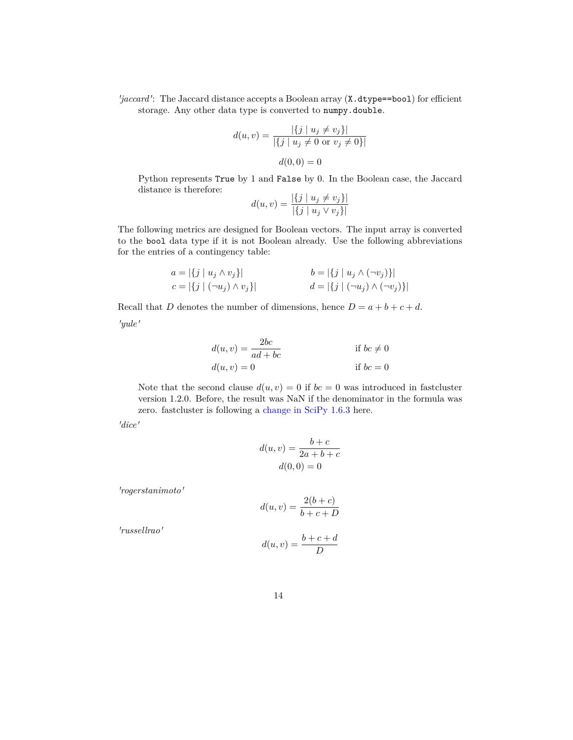*'jaccard'*: The Jaccard distance accepts a Boolean array (X.dtype==bool) for efficient storage. Any other data type is converted to numpy.double.

$$
d(u, v) = \frac{|\{j \mid u_j \neq v_j\}|}{|\{j \mid u_j \neq 0 \text{ or } v_j \neq 0\}|}
$$

$$
d(0, 0) = 0
$$

Python represents True by 1 and False by 0. In the Boolean case, the Jaccard distance is therefore:

$$
d(u, v) = \frac{|\{j \mid u_j \neq v_j\}|}{|\{j \mid u_j \vee v_j\}|}
$$

The following metrics are designed for Boolean vectors. The input array is converted to the bool data type if it is not Boolean already. Use the following abbreviations for the entries of a contingency table:

$$
a = |\{j \mid u_j \wedge v_j\}|
$$
  
\n
$$
c = |\{j \mid (\neg u_j) \wedge v_j\}|
$$
  
\n
$$
b = |\{j \mid u_j \wedge (\neg v_j)\}|
$$
  
\n
$$
d = |\{j \mid (\neg u_j) \wedge (\neg v_j)\}|
$$

<span id="page-13-0"></span>Recall that *D* denotes the number of dimensions, hence  $D = a + b + c + d$ . *'yule'*

$$
d(u, v) = \frac{2bc}{ad + bc}
$$
 if  $bc \neq 0$   

$$
d(u, v) = 0
$$
 if  $bc = 0$ 

Note that the second clause  $d(u, v) = 0$  if  $bc = 0$  was introduced in fastcluster version 1.2.0. Before, the result was NaN if the denominator in the formula was zero. fastcluster is following a [change in SciPy 1.6.3](https://github.com/scipy/scipy/commit/3b22d1da98dc1b5f64bc944c21f398d4ba782bce) here.

*'dice'*

$$
d(u, v) = \frac{b+c}{2a+b+c}
$$

$$
d(0, 0) = 0
$$

*'rogerstanimoto'*

$$
d(u, v) = \frac{2(b+c)}{b+c+D}
$$

*'russellrao'*

$$
d(u, v) = \frac{b + c + d}{D}
$$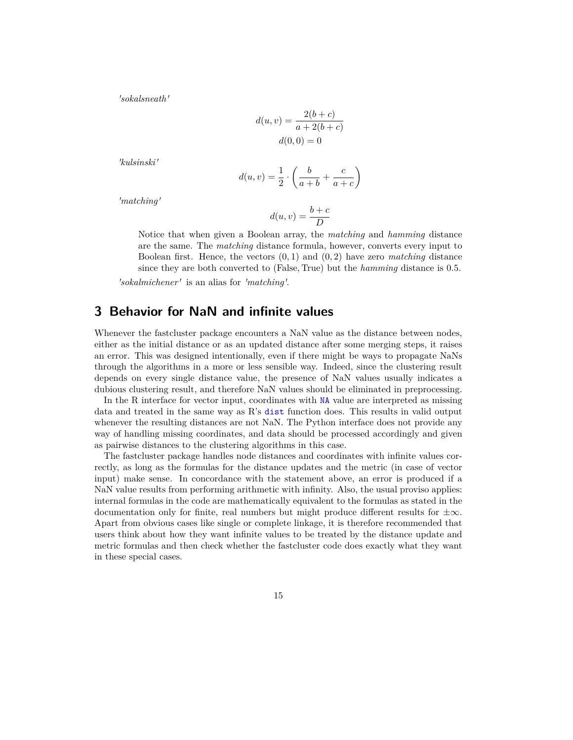*'sokalsneath'*

$$
d(u, v) = \frac{2(b + c)}{a + 2(b + c)}
$$

$$
d(0, 0) = 0
$$

*'kulsinski'*

$$
d(u,v) = \frac{1}{2} \cdot \left(\frac{b}{a+b} + \frac{c}{a+c}\right)
$$

*'matching'*

$$
d(u, v) = \frac{b + c}{D}
$$

Notice that when given a Boolean array, the *matching* and *hamming* distance are the same. The *matching* distance formula, however, converts every input to Boolean first. Hence, the vectors (0*,* 1) and (0*,* 2) have zero *matching* distance since they are both converted to (False*,* True) but the *hamming* distance is 0*.*5.

*'sokalmichener'* is an alias for *'matching'*.

### <span id="page-14-0"></span>**3 Behavior for NaN and infinite values**

Whenever the fastcluster package encounters a NaN value as the distance between nodes, either as the initial distance or as an updated distance after some merging steps, it raises an error. This was designed intentionally, even if there might be ways to propagate NaNs through the algorithms in a more or less sensible way. Indeed, since the clustering result depends on every single distance value, the presence of NaN values usually indicates a dubious clustering result, and therefore NaN values should be eliminated in preprocessing.

In the R interface for vector input, coordinates with [NA](https://stat.ethz.ch/R-manual/R-patched/library/base/html/NA.html) value are interpreted as missing data and treated in the same way as R's [dist](https://stat.ethz.ch/R-manual/R-patched/library/stats/html/dist.html) function does. This results in valid output whenever the resulting distances are not NaN. The Python interface does not provide any way of handling missing coordinates, and data should be processed accordingly and given as pairwise distances to the clustering algorithms in this case.

The fastcluster package handles node distances and coordinates with infinite values correctly, as long as the formulas for the distance updates and the metric (in case of vector input) make sense. In concordance with the statement above, an error is produced if a NaN value results from performing arithmetic with infinity. Also, the usual proviso applies: internal formulas in the code are mathematically equivalent to the formulas as stated in the documentation only for finite, real numbers but might produce different results for *±∞*. Apart from obvious cases like single or complete linkage, it is therefore recommended that users think about how they want infinite values to be treated by the distance update and metric formulas and then check whether the fastcluster code does exactly what they want in these special cases.

15